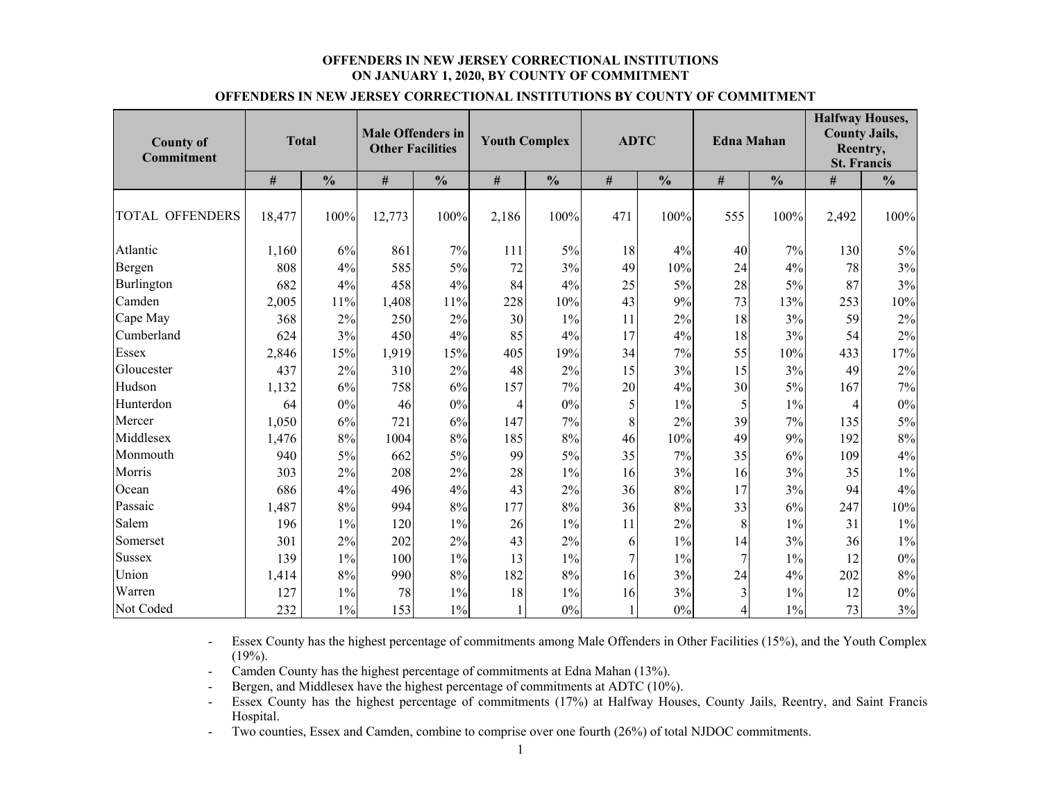#### **OFFENDERS IN NEW JERSEY CORRECTIONAL INSTITUTIONS ON JANUARY 1, 2020, BY COUNTY OF COMMITMENT**

| <b>County of</b><br><b>Commitment</b> |        | <b>Total</b>  | <b>Male Offenders in</b><br><b>Other Facilities</b> |               | <b>Youth Complex</b> |               |      | <b>ADTC</b>   | <b>Edna Mahan</b> |               | <b>Halfway Houses,</b><br><b>County Jails,</b><br>Reentry,<br><b>St. Francis</b> |               |
|---------------------------------------|--------|---------------|-----------------------------------------------------|---------------|----------------------|---------------|------|---------------|-------------------|---------------|----------------------------------------------------------------------------------|---------------|
|                                       | $\#$   | $\frac{0}{0}$ | #                                                   | $\frac{0}{0}$ | $\#$                 | $\frac{0}{0}$ | $\#$ | $\frac{0}{0}$ | $\#$              | $\frac{0}{0}$ | #                                                                                | $\frac{0}{0}$ |
| TOTAL OFFENDERS                       | 18,477 | 100%          | 12,773                                              | 100%          | 2,186                | 100%          | 471  | 100%          | 555               | 100%          | 2,492                                                                            | 100%          |
| Atlantic                              | 1,160  | 6%            | 861                                                 | 7%            | 111                  | 5%            | 18   | 4%            | 40                | 7%            | 130                                                                              | 5%            |
| Bergen                                | 808    | 4%            | 585                                                 | 5%            | 72                   | 3%            | 49   | 10%           | 24                | 4%            | 78                                                                               | 3%            |
| <b>Burlington</b>                     | 682    | $4\%$         | 458                                                 | 4%            | 84                   | 4%            | 25   | 5%            | 28                | $5\%$         | 87                                                                               | 3%            |
| Camden                                | 2,005  | 11%           | 1,408                                               | 11%           | 228                  | 10%           | 43   | 9%            | 73                | 13%           | 253                                                                              | 10%           |
| Cape May                              | 368    | 2%            | 250                                                 | $2\%$         | 30                   | $1\%$         | 11   | 2%            | 18                | 3%            | 59                                                                               | 2%            |
| Cumberland                            | 624    | 3%            | 450                                                 | 4%            | 85                   | 4%            | 17   | 4%            | 18                | 3%            | 54                                                                               | 2%            |
| Essex                                 | 2,846  | 15%           | 1,919                                               | 15%           | 405                  | 19%           | 34   | 7%            | 55                | 10%           | 433                                                                              | 17%           |
| Gloucester                            | 437    | 2%            | 310                                                 | $2\%$         | 48                   | 2%            | 15   | 3%            | 15                | 3%            | 49                                                                               | 2%            |
| Hudson                                | 1,132  | 6%            | 758                                                 | 6%            | 157                  | 7%            | 20   | 4%            | 30                | $5\%$         | 167                                                                              | 7%            |
| Hunterdon                             | 64     | $0\%$         | 46                                                  | $0\%$         |                      | $0\%$         |      | $1\%$         |                   | $1\%$         |                                                                                  | 0%            |
| Mercer                                | 1,050  | 6%            | 721                                                 | 6%            | 147                  | 7%            | 8    | 2%            | 39                | 7%            | 135                                                                              | 5%            |

Middlesex 1,476 8% 1004 8% 185 8% 46 10% 49 9% 192 8%

Passaic 1,487 8% 994 8% 177 8% 36 8% 33 6% 247 10%

Union 1,414 8% 990 8% 182 8% 16 3% 24 4% 202 8%

#### **OFFENDERS IN NEW JERSEY CORRECTIONAL INSTITUTIONS BY COUNTY OF COMMITMENT**

- Essex County has the highest percentage of commitments among Male Offenders in Other Facilities (15%), and the Youth Complex  $(19\%)$ .

 $\%$  662 5% 99 5% 35 7% 35 6% 109 4%

 $\%$  208 2% 28 1% 16 3% 16 3% 3% 35 1%

 $\%$  496 4% 43 2% 36 8% 17 3% 94 4%

 $\%$  120 1% 26 1% 11 2% 8 1% 31 1%

 $\%$  202 2% 43 2% 6 1% 14 3% 36 1%

 $\%$  100 1% 13 1% 7 1% 7 1% 1% 12 0%

 $\%$  78 1% 18 1% 16 3% 3 1% 12 0%

 $\%$  153 1% 1 0% 1 0% 1 0% 4 1% 73 3%

-Camden County has the highest percentage of commitments at Edna Mahan (13%).

Monmouth  $940$   $5\%$ 

Morris  $303 \mid 2\%$ 

Ocean 686 4%

Salem 196 1%

Somerset 1 301 2%

Sussex 139  $1\frac{9}{6}$ 

Warren 127 1%

Not Coded 232 1%

- Bergen, and Middlesex have the highest percentage of commitments at ADTC (10%).
- - Essex County has the highest percentage of commitments (17%) at Halfway Houses, County Jails, Reentry, and Saint Francis Hospital.
- Two counties, Essex and Camden, combine to comprise over one fourth (26%) of total NJDOC commitments.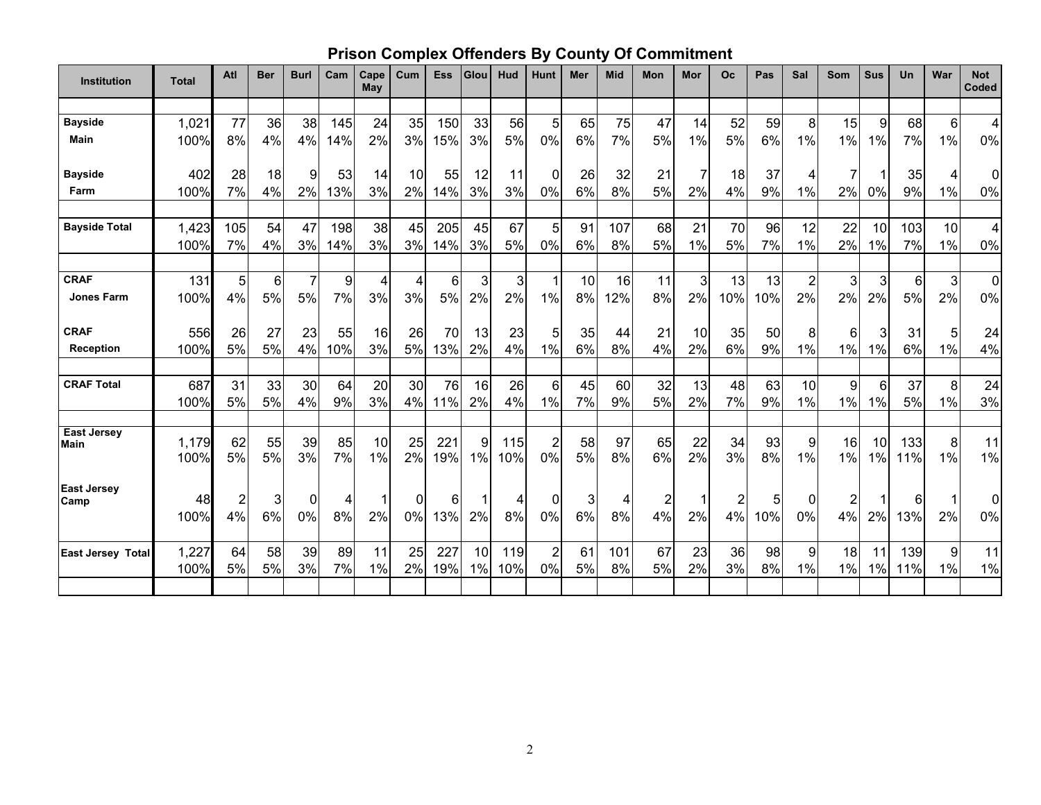## **Prison Complex Offenders By County Of Commitment**

| Institution                | <b>Total</b>  | Atl                  | <b>Ber</b> | <b>Burl</b>    | Cam      | Cape<br><b>May</b> | Cum            | <b>Ess</b> | <b>Glou</b> | Hud        | <b>Hunt</b>                   | Mer      | <b>Mid</b> | Mon                           | Mor      | <b>Oc</b>            | Pas      | Sal                      | <b>Som</b>  | <b>Sus</b>      | <b>Un</b>  | War                    | <b>Not</b><br>Coded |
|----------------------------|---------------|----------------------|------------|----------------|----------|--------------------|----------------|------------|-------------|------------|-------------------------------|----------|------------|-------------------------------|----------|----------------------|----------|--------------------------|-------------|-----------------|------------|------------------------|---------------------|
|                            |               |                      |            |                |          |                    |                |            |             |            |                               |          |            |                               |          |                      |          |                          |             |                 |            |                        |                     |
| <b>Bayside</b>             | 1,021         | 77                   | 36         | 38             | 145      | 24                 | 35             | 150        | 33          | 56         | 5                             | 65       | 75         | 47                            | 14       | 52                   | 59       | 8                        | 15          | 9               | 68         | 6                      | 4                   |
| <b>Main</b>                | 100%          | 8%                   | 4%         | 4%             | 14%      | 2%                 | 3%             | 15%        | 3%          | 5%         | 0%                            | 6%       | 7%         | 5%                            | 1%       | 5%                   | 6%       | 1%                       | $1\%$       | 1%              | 7%         | 1%                     | 0%                  |
| <b>Bayside</b>             | 402           | 28                   | 18         | 9              | 53       | 14                 | 10             | 55         | 12          | 11         | 0                             | 26       | 32         | 21                            | 7        | 18                   | 37       | 4                        | 7           |                 | 35         | 4                      | 0                   |
| Farm                       | 100%          | 7%                   | 4%         | 2%             | 13%      | 3%                 | 2%             | 14%        | 3%          | 3%         | 0%                            | 6%       | 8%         | 5%                            | 2%       | 4%                   | 9%       | $1\%$                    | 2%          | 0%              | 9%         | 1%                     | $0\%$               |
| <b>Bayside Total</b>       | 1,423         | 105                  | 54         | 47             | 198      | 38                 | 45             | 205        | 45          | 67         | 5                             | 91       | 107        | 68                            | 21       | 70                   | 96       | 12                       | 22          | 10 <sup>1</sup> | 103        | 10                     | $\overline{4}$      |
|                            | 100%          | 7%                   | 4%         | 3%             | 14%      | 3%                 | 3%             | 14%        | 3%          | 5%         | $0\%$                         | 6%       | 8%         | 5%                            | 1%       | 5%                   | 7%       | 1%                       | 2%          | 1%              | 7%         | 1%                     | $0\%$               |
| <b>CRAF</b>                | 131           | 5                    | 6          | $\overline{7}$ | 9        | 4                  | $\overline{4}$ | 6          | 3           | 3          | 1                             | 10       | 16         | 11                            | 3        | 13                   | 13       | $\sqrt{2}$               | 3           | 3               | 6          | 3                      | $\overline{0}$      |
| <b>Jones Farm</b>          | 100%          | 4%                   | 5%         | 5%             | 7%       | 3%                 | 3%             | 5%         | 2%          | 2%         | 1%                            | 8%       | 12%        | 8%                            | 2%       | 10%                  | 10%      | 2%                       | 2%          | 2%              | 5%         | 2%                     | 0%                  |
| <b>CRAF</b>                | 556           | 26                   | 27         | 23             | 55       | 16                 | 26             | 70         | 13          | 23         | 5                             | 35       | 44         | 21                            | 10       | 35                   | 50       | 8                        | 6           | 3               | 31         | 5                      | 24                  |
| <b>Reception</b>           | 100%          | 5%                   | 5%         | 4%             | 10%      | 3%                 | 5%             | 13%        | 2%          | 4%         | 1%                            | 6%       | 8%         | 4%                            | 2%       | 6%                   | 9%       | $1\%$                    | 1%          | 1%              | 6%         | 1%                     | 4%                  |
| <b>CRAF Total</b>          | 687<br>100%   | 31<br>5%             | 33<br>5%   | 30<br>4%       | 64<br>9% | 20<br>3%           | 30<br>4%       | 76<br>11%  | 16<br>2%    | 26<br>4%   | 6<br>1%                       | 45<br>7% | 60<br>9%   | 32<br>5%                      | 13<br>2% | 48<br>7%             | 63<br>9% | 10 <sup>1</sup><br>$1\%$ | 9<br>$1\%$  | 6<br>1%         | 37<br>5%   | 8<br>1%                | 24<br>3%            |
| <b>East Jersey</b>         |               |                      |            |                |          |                    |                |            |             |            |                               |          |            |                               |          |                      |          |                          |             |                 |            |                        |                     |
| <b>Main</b>                | 1,179<br>100% | 62<br>5%             | 55<br>5%   | 39<br>3%       | 85<br>7% | 10<br>1%           | 25<br>2%       | 221<br>19% | 9<br>1%     | 115<br>10% | $\overline{\mathbf{c}}$<br>0% | 58<br>5% | 97<br>8%   | 65<br>6%                      | 22<br>2% | 34<br>3%             | 93<br>8% | 9<br>1%                  | 16<br>1%    | 10<br>1%        | 133<br>11% | 8<br>1%                | 11<br>$1\%$         |
| <b>East Jersey</b><br>Camp | 48<br>100%    | $\overline{2}$<br>4% | 3<br>6%    | $\Omega$<br>0% | 4<br>8%  | 2%                 | 0<br>0%        | 6<br>13%   | 2%          | 4<br>8%    | 0<br>0%                       | 3<br>6%  | 4<br>$8\%$ | $\overline{\mathbf{c}}$<br>4% | 1<br>2%  | $\overline{c}$<br>4% | 5<br>10% | $\Omega$<br>$0\%$        | 2<br>4%     | 2%              | 6<br>13%   | $\mathbf 1$<br>2%      | $\Omega$<br>0%      |
| <b>East Jersey Total</b>   | 1,227<br>100% | 64<br>5%             | 58<br>5%   | 39<br>3%       | 89<br>7% | 11<br>1%           | 25<br>2%       | 227<br>19% | 10<br>1%    | 119<br>10% | $\overline{2}$<br>0%          | 61<br>5% | 101<br>8%  | 67<br>5%                      | 23<br>2% | 36<br>3%             | 98<br>8% | 9<br>1%                  | 18<br>$1\%$ | 11<br>1%        | 139<br>11% | $\boldsymbol{9}$<br>1% | 11<br>$1\%$         |
|                            |               |                      |            |                |          |                    |                |            |             |            |                               |          |            |                               |          |                      |          |                          |             |                 |            |                        |                     |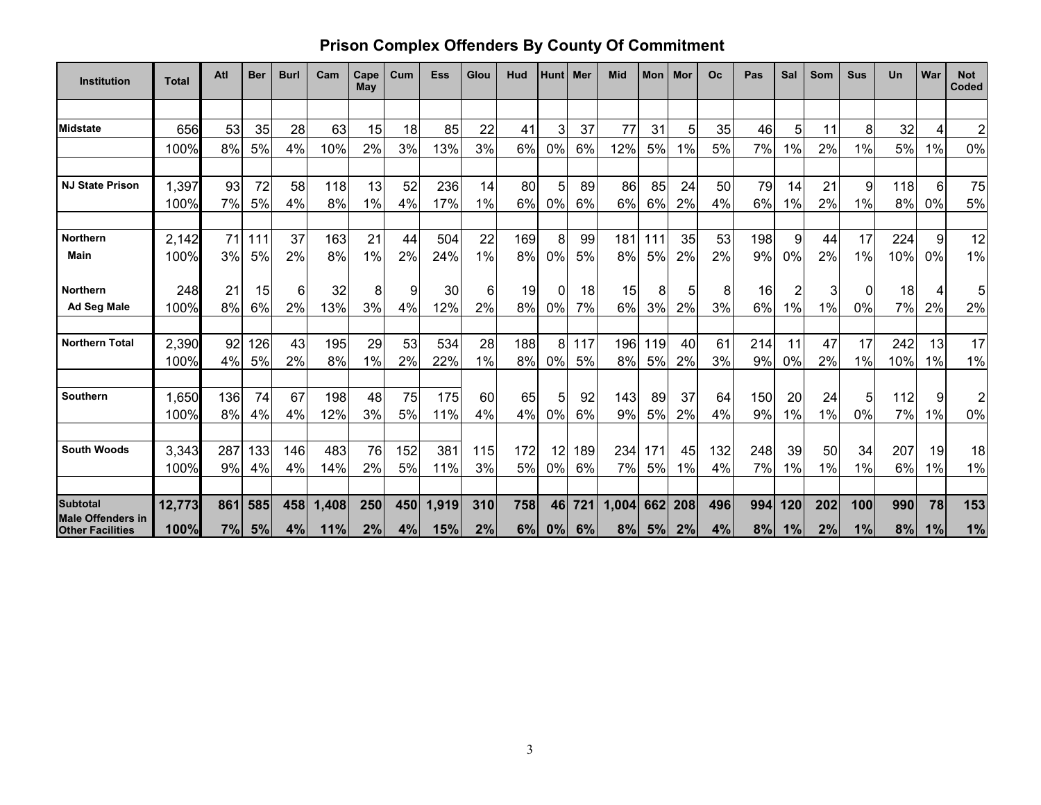### **Prison Complex Offenders By County Of Commitment**

| <b>Institution</b>                                  | <b>Total</b> | Atl | <b>Ber</b> | <b>Burl</b> | Cam   | Cape<br>May | Cum | <b>Ess</b> | Glou  | Hud | <b>Hunt</b> | l Mer | Mid   | Mon | Mor | <b>Oc</b> | Pas | Sal | Som | <b>Sus</b> | Un  | War | <b>Not</b><br>Coded |
|-----------------------------------------------------|--------------|-----|------------|-------------|-------|-------------|-----|------------|-------|-----|-------------|-------|-------|-----|-----|-----------|-----|-----|-----|------------|-----|-----|---------------------|
|                                                     |              |     |            |             |       |             |     |            |       |     |             |       |       |     |     |           |     |     |     |            |     |     |                     |
| <b>Midstate</b>                                     | 656          | 53  | 35         | 28          | 63    | 15          | 18  | 85         | 22    | 41  | 3           | 37    | 77    | 31  | 5   | 35        | 46  | 5   | 11  | 8          | 32  | 4   | $\overline{c}$      |
|                                                     | 100%         | 8%  | 5%         | 4%          | 10%   | 2%          | 3%  | 13%        | 3%    | 6%  | 0%          | 6%    | 12%   | 5%  | 1%  | 5%        | 7%  | 1%  | 2%  | 1%         | 5%  | 1%  | 0%                  |
|                                                     |              |     |            |             |       |             |     |            |       |     |             |       |       |     |     |           |     |     |     |            |     |     |                     |
| <b>NJ State Prison</b>                              | 1,397        | 93  | 72         | 58          | 118   | 13          | 52  | 236        | 14    | 80  | 5           | 89    | 86    | 85  | 24  | 50        | 79  | 14  | 21  | 9          | 118 | 6   | 75                  |
|                                                     | 100%         | 7%  | 5%         | 4%          | 8%    | 1%          | 4%  | 17%        | $1\%$ | 6%  | 0%          | 6%    | 6%    | 6%  | 2%  | 4%        | 6%  | 1%  | 2%  | 1%         | 8%  | 0%  | 5%                  |
| <b>Northern</b>                                     | 2,142        | 71  | 111        | 37          | 163   | 21          | 44  | 504        | 22    | 169 | 8           | 99    | 181   | 111 | 35  | 53        | 198 | 9   | 44  | 17         | 224 | 9   | 12                  |
| Main                                                | 100%         | 3%  | 5%         | 2%          | 8%    | 1%          | 2%  | 24%        | $1\%$ | 8%  | 0%          | 5%    | 8%    | 5%  | 2%  | 2%        | 9%  | 0%  | 2%  | 1%         | 10% | 0%  | 1%                  |
| <b>Northern</b>                                     | 248          | 21  | 15         | 6           | 32    | 8           | 9   | 30         | 6     | 19  | 0           | 18    | 15    | 8   | 5   | 8         | 16  | 2   | 3   | 0          | 18  |     | 5                   |
| <b>Ad Seg Male</b>                                  | 100%         | 8%  | 6%         | 2%          | 13%   | 3%          | 4%  | 12%        | 2%    | 8%  | 0%          | 7%    | 6%    | 3%  | 2%  | 3%        | 6%  | 1%  | 1%  | 0%         | 7%  | 2%  | 2%                  |
| <b>Northern Total</b>                               | 2,390        | 92  | 126        | 43          | 195   | 29          | 53  | 534        | 28    | 188 | 8           | 117   | 196   | 119 | 40  | 61        | 214 | 11  | 47  | 17         | 242 | 13  | 17                  |
|                                                     | 100%         | 4%  | 5%         | 2%          | 8%    | 1%          | 2%  | 22%        | 1%    | 8%  | 0%          | 5%    | 8%    | 5%  | 2%  | 3%        | 9%  | 0%  | 2%  | 1%         | 10% | 1%  | 1%                  |
| Southern                                            | 1,650        | 136 | 74         | 67          | 198   | 48          | 75  | 175        | 60    | 65  | 5           | 92    | 143   | 89  | 37  | 64        | 150 | 20  | 24  | 5          | 112 | 9   | 2                   |
|                                                     | 100%         | 8%  | 4%         | 4%          | 12%   | 3%          | 5%  | 11%        | 4%    | 4%  | 0%          | 6%    | 9%    | 5%  | 2%  | 4%        | 9%  | 1%  | 1%  | 0%         | 7%  | 1%  | 0%                  |
|                                                     |              |     |            |             |       |             |     |            |       |     |             |       |       |     |     |           |     |     |     |            |     |     |                     |
| <b>South Woods</b>                                  | 3,343        | 287 | 133        | 146         | 483   | 76          | 152 | 381        | 115   | 172 | 12          | 189   | 234   | 171 | 45  | 132       | 248 | 39  | 50  | 34         | 207 | 19  | 18                  |
|                                                     | 100%         | 9%  | 4%         | 4%          | 14%   | 2%          | 5%  | 11%        | 3%    | 5%  | 0%          | 6%    | 7%    | 5%  | 1%  | 4%        | 7%  | 1%  | 1%  | 1%         | 6%  | 1%  | 1%                  |
| <b>Subtotal</b>                                     | 12,773       | 861 | 585        | 458         | 1,408 | 250         | 450 | 1,919      | 310   | 758 | 46          | 721   | 1,004 | 662 | 208 | 496       | 994 | 120 | 202 | 100        | 990 | 78  | 153                 |
| <b>Male Offenders in</b><br><b>Other Facilities</b> | 100%         | 7%  | 5%         | 4%          | 11%   | 2%          | 4%  | 15%        | 2%    | 6%  | 0%          | 6%    | 8%    | 5%  | 2%  | 4%        | 8%  | 1%  | 2%  | 1%         | 8%  | 1%  | 1%                  |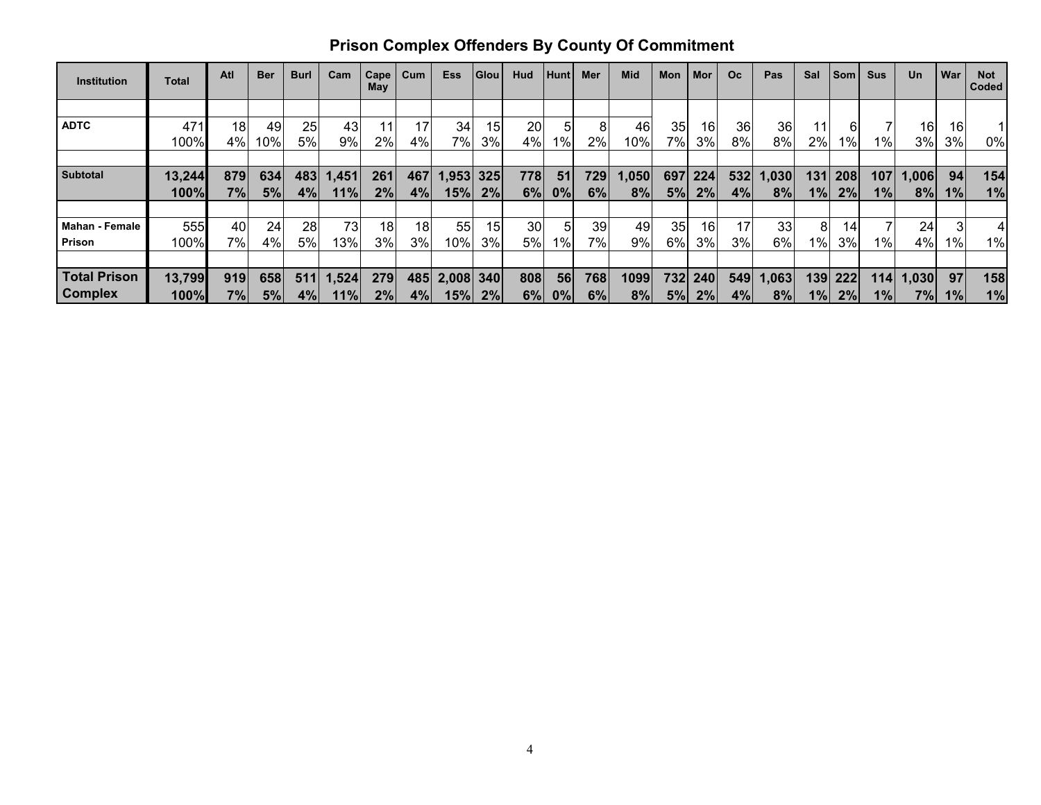| <b>Institution</b>    | <b>Total</b> | Atl | <b>Ber</b> | <b>Burl</b> | Cam   | Cape<br>May | Cum             | <b>Ess</b>    | Glou | Hud | Hunt    | Mer | <b>Mid</b> | Mon        | Mor     | O <sub>c</sub> | Pas   | Sal   | <b>Som</b> | <b>Sus</b> | Un    | War   | <b>Not</b><br>Coded |
|-----------------------|--------------|-----|------------|-------------|-------|-------------|-----------------|---------------|------|-----|---------|-----|------------|------------|---------|----------------|-------|-------|------------|------------|-------|-------|---------------------|
|                       |              |     |            |             |       |             |                 |               |      |     |         |     |            |            |         |                |       |       |            |            |       |       |                     |
| <b>ADTC</b>           | 471          | 18  | 49         | 25          | 43    |             | 17              | 34            | 15   | 20  | 5       | 8   | 46         | <b>351</b> | 16      | 36             | 36    |       | 61         |            | 16    | 16    |                     |
|                       | 100%         | 4%  | $10\%$     | 5%          | 9%    | 2%          | 4%              | 7%            | 3%   | 4%  | $1\%$   | 2%  | 10%        | 7%I        | 3%      | 8%             | 8%    | 2%    | 1%         | $1\%$      | 3%    | 3%    | 0%                  |
|                       |              |     |            |             |       |             |                 |               |      |     |         |     |            |            |         |                |       |       |            |            |       |       |                     |
| <b>Subtotal</b>       | 13,244       | 879 | 634        | 483         | 1,451 | 261         | 467             | 1,953         | 325  | 778 | 51      | 729 | 1,050      | 697        | 224     | 532            | 1,030 | 131   | 208        | 107        | 1,006 | 94    | 154                 |
|                       | 100%         | 7%  | 5%         | 4%          | 11%   | 2%          | 4%              | 15%           | 2%   | 6%  | $ 0\% $ | 6%  | 8%         | 5%         | 2%      | 4%             | 8%    | 1%    | 2%         | $1\%$      | 8%    | 1%    | 1%                  |
|                       |              |     |            |             |       |             |                 |               |      |     |         |     |            |            |         |                |       |       |            |            |       |       |                     |
| <b>Mahan - Female</b> | 555          | 40  | 24         | 28          | 73    | 18          | 18 <sub>1</sub> | 55            | 15   | 30  | 5       | 39  | 49         | 35         | 16      | 17             | 33    | 8     | 14         |            | 24    |       | 4                   |
| Prison                | 100%         | 7%  | 4%         | 5%          | 13%   | 3%          | 3%              | 10%           | 3%   | 5%  | 1%      | 7%  | 9%         | 6%         | 3%      | 3%             | 6%    | $1\%$ | 3%         | 1% l       | 4%    | $1\%$ | 1%                  |
|                       |              |     |            |             |       |             |                 |               |      |     |         |     |            |            |         |                |       |       |            |            |       |       |                     |
| <b>Total Prison</b>   | 13,799       | 919 | 658        | 511         | 1,524 | 279         |                 | 485 2,008 340 |      | 808 | 56      | 768 | 1099       |            | 732 240 | 549            | 1,063 | 139   | 222        | <b>114</b> | 1,030 | 97    | 158                 |
| <b>Complex</b>        | 100%         | 7%  | 5%         | 4%          | 11%   | 2%          | 4%              | 15%           | 2%   | 6%  | 0%      | 6%  | 8%         | 5%         | 2%      | 4%             | 8%    | $1\%$ | 2%         | $1\%$      | 7%    | 1%    | 1%                  |

# **Prison Complex Offenders By County Of Commitment**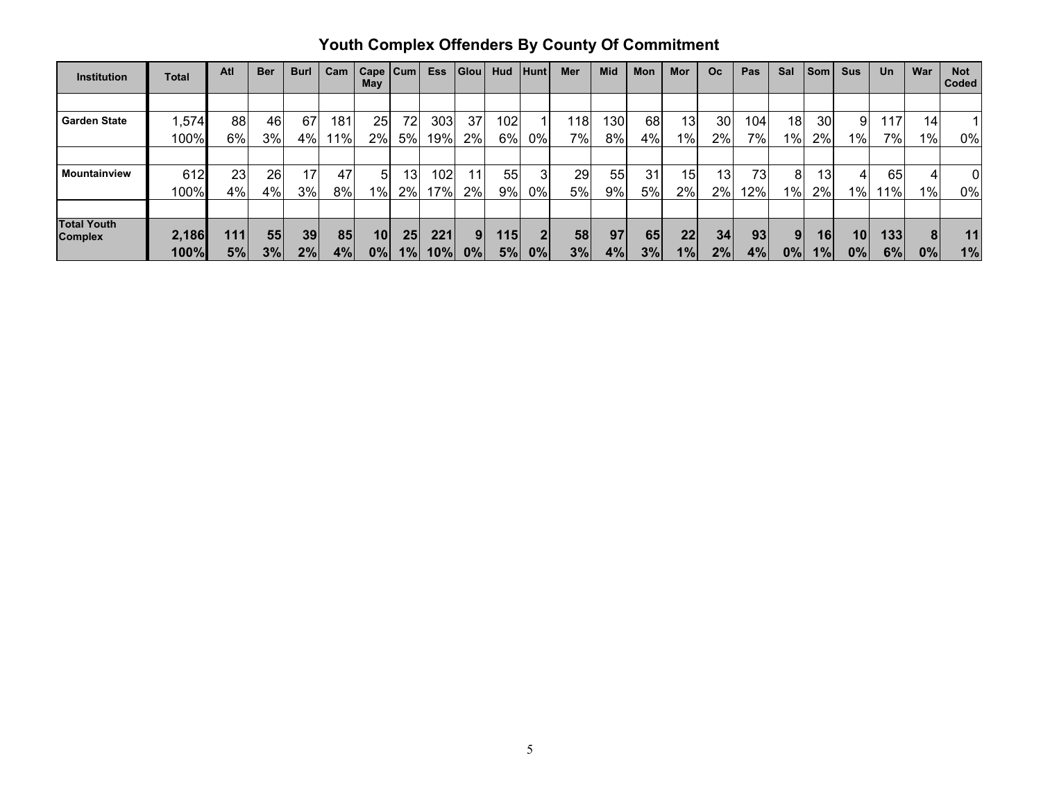|  |  |  |  |  | <b>Youth Complex Offenders By County Of Commitment</b>                                                 |  |  |  |  |
|--|--|--|--|--|--------------------------------------------------------------------------------------------------------|--|--|--|--|
|  |  |  |  |  | Atl   Ber   Burl   Cam   Cape   Cum   Ess   Glou   Hud   Hunt   Mer   Mid   Mon   Mor   Oc   Pas   Sal |  |  |  |  |

| <b>Institution</b>                   | <b>Total</b> | Atl  | <b>Ber</b> | <b>Burl</b> | Cam    | Cape $ $ Cum<br>May |                 | <b>Ess</b> | $ G$ lou       | Hud   | Hunt | Mer   | Mid  | Mon | Mor             | Oc.             | <b>Pas</b>      | Sal             | Som | Sus   | Un  | War | <b>Not</b><br>Coded |
|--------------------------------------|--------------|------|------------|-------------|--------|---------------------|-----------------|------------|----------------|-------|------|-------|------|-----|-----------------|-----------------|-----------------|-----------------|-----|-------|-----|-----|---------------------|
|                                      |              |      |            |             |        |                     |                 |            |                |       |      |       |      |     |                 |                 |                 |                 |     |       |     |     |                     |
| <b>Garden State</b>                  | ,574         | 88   | 46         | 67          | 181    | 25                  | 72              | 303        | 37             | 1021  |      | 118   | 130l | 68  | 13              | 30              | 104             | 18 <sub>l</sub> | 30  | 9     | 117 | 14  |                     |
|                                      | 100%         | 6%   | 3%         | 4%          | $11\%$ | $2\%$               | 5%              | 19%        | 2%             | $6\%$ | 0%   | $7\%$ | 8%   | 4%  | $1\%$           | 2%              | 7%              | 1%              | 2%  | $1\%$ | 7%  | 1%  | $0\%$               |
|                                      |              |      |            |             |        |                     |                 |            |                |       |      |       |      |     |                 |                 |                 |                 |     |       |     |     |                     |
| <b>Mountainview</b>                  | 612          | 23   | 26         | 17          | 47     | 51                  | 131             | 102        | 11             | 55    | 31   | 29    | 55   | 31  | 15 <sub>1</sub> | 13 <sub>l</sub> | 73 <sub>1</sub> | 8               | 13  | 4     | 65  |     | $\overline{0}$      |
|                                      | 100%         | 4%   | 4%         | 3%          | 8%     | 1%                  | 2%              | 17%        | 2%             | 9%    | 0%   | 5%    | 9%   | 5%  | 2%              | 2%              | 12%             | $1\%$           | 2%  | $1\%$ | 1%  | 1%  | 0%                  |
|                                      |              |      |            |             |        |                     |                 |            |                |       |      |       |      |     |                 |                 |                 |                 |     |       |     |     |                     |
| <b>Total Youth</b><br><b>Complex</b> | 2,186        | 111. | 55         | 39          | 85     | 10                  | 25 <sub>l</sub> | 221        | $\overline{9}$ | 1151  |      | 58    | 97   | 65  | 22              | 34              | 93              | 9               | 16  | 10    | 133 | 8   | 11,                 |
|                                      | 100%         | 5%   | 3%         | 2%          | 4%     | 0%                  | 1%              | 10%        | 0%             | 5%    | 0%   | 3%    | 4%   | 3%  | 1%              | 2%              | 4%              | 0%              | 1%  | 0%    | 6%  | 0%  | 1%                  |